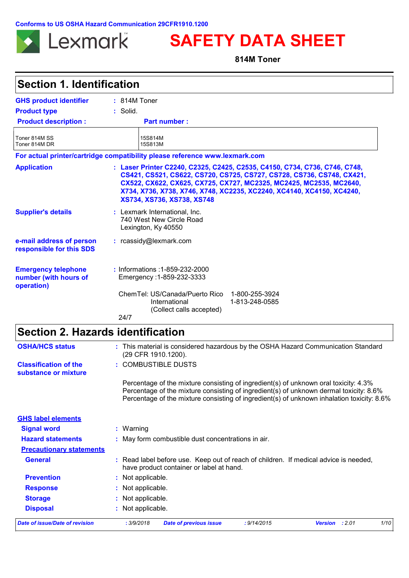**Conforms to US OSHA Hazard Communication 29CFR1910.1200**



**SAFETY DATA SHEET**

**814M Toner**

| <b>Section 1. Identification</b>                                  |                                                                                                                                                                                                                                                                                                                                  |
|-------------------------------------------------------------------|----------------------------------------------------------------------------------------------------------------------------------------------------------------------------------------------------------------------------------------------------------------------------------------------------------------------------------|
| <b>GHS product identifier</b>                                     | $: 814M$ Toner                                                                                                                                                                                                                                                                                                                   |
| <b>Product type</b>                                               | : Solid.                                                                                                                                                                                                                                                                                                                         |
| <b>Product description:</b>                                       | <b>Part number:</b>                                                                                                                                                                                                                                                                                                              |
| Toner 814M SS<br>Toner 814M DR                                    | 15S814M<br>15S813M                                                                                                                                                                                                                                                                                                               |
|                                                                   | For actual printer/cartridge compatibility please reference www.lexmark.com                                                                                                                                                                                                                                                      |
| <b>Application</b>                                                | : Laser Printer C2240, C2325, C2425, C2535, C4150, C734, C736, C746, C748,<br>CS421, CS521, CS622, CS720, CS725, CS727, CS728, CS736, CS748, CX421,<br>CX522, CX622, CX625, CX725, CX727, MC2325, MC2425, MC2535, MC2640,<br>X734, X736, X738, X746, X748, XC2235, XC2240, XC4140, XC4150, XC4240,<br>XS734, XS736, XS738, XS748 |
| <b>Supplier's details</b>                                         | : Lexmark International, Inc.<br>740 West New Circle Road<br>Lexington, Ky 40550                                                                                                                                                                                                                                                 |
| e-mail address of person<br>responsible for this SDS              | : rcassidy@lexmark.com                                                                                                                                                                                                                                                                                                           |
| <b>Emergency telephone</b><br>number (with hours of<br>operation) | : Informations : 1-859-232-2000<br>Emergency: 1-859-232-3333                                                                                                                                                                                                                                                                     |
|                                                                   | ChemTel: US/Canada/Puerto Rico<br>1-800-255-3924<br>International<br>1-813-248-0585<br>(Collect calls accepted)                                                                                                                                                                                                                  |
|                                                                   | 24/7                                                                                                                                                                                                                                                                                                                             |

| <b>Date of issue/Date of revision</b>                | : 3/9/2018<br><b>Date of previous issue</b><br>: 9/14/2015<br>: 2.01<br>1/10<br><b>Version</b>                                                                                                                                                                               |
|------------------------------------------------------|------------------------------------------------------------------------------------------------------------------------------------------------------------------------------------------------------------------------------------------------------------------------------|
| <b>Disposal</b>                                      | : Not applicable.                                                                                                                                                                                                                                                            |
| <b>Storage</b>                                       | : Not applicable.                                                                                                                                                                                                                                                            |
| <b>Response</b>                                      | : Not applicable.                                                                                                                                                                                                                                                            |
| <b>Prevention</b>                                    | : Not applicable.                                                                                                                                                                                                                                                            |
| <b>General</b>                                       | : Read label before use. Keep out of reach of children. If medical advice is needed,<br>have product container or label at hand.                                                                                                                                             |
| <b>Precautionary statements</b>                      |                                                                                                                                                                                                                                                                              |
| <b>Hazard statements</b>                             | : May form combustible dust concentrations in air.                                                                                                                                                                                                                           |
| <b>Signal word</b>                                   | $:$ Warning                                                                                                                                                                                                                                                                  |
| <b>GHS label elements</b>                            |                                                                                                                                                                                                                                                                              |
|                                                      | Percentage of the mixture consisting of ingredient(s) of unknown oral toxicity: 4.3%<br>Percentage of the mixture consisting of ingredient(s) of unknown dermal toxicity: 8.6%<br>Percentage of the mixture consisting of ingredient(s) of unknown inhalation toxicity: 8.6% |
| <b>Classification of the</b><br>substance or mixture | : COMBUSTIBLE DUSTS                                                                                                                                                                                                                                                          |
| <b>OSHA/HCS status</b>                               | : This material is considered hazardous by the OSHA Hazard Communication Standard<br>(29 CFR 1910.1200).                                                                                                                                                                     |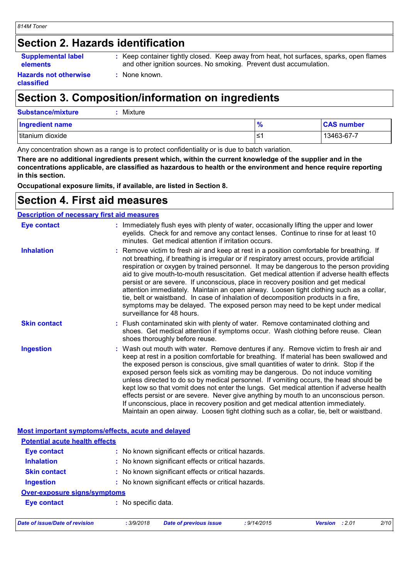### **Section 2. Hazards identification**

#### **Supplemental label elements**

**:** Keep container tightly closed. Keep away from heat, hot surfaces, sparks, open flames

**Hazards not otherwise classified**

and other ignition sources. No smoking. Prevent dust accumulation.

**:** None known.

## **Section 3. Composition/information on ingredients**

| <b>Substance/mixture</b><br>Mixture |      |                   |
|-------------------------------------|------|-------------------|
| <b>Ingredient name</b>              | 70   | <b>CAS number</b> |
| titanium dioxide                    | ∙≥ ∶ | 13463-67-7        |

Any concentration shown as a range is to protect confidentiality or is due to batch variation.

**There are no additional ingredients present which, within the current knowledge of the supplier and in the concentrations applicable, are classified as hazardous to health or the environment and hence require reporting in this section.**

**Occupational exposure limits, if available, are listed in Section 8.**

### **Section 4. First aid measures**

|                     | <b>Description of necessary first aid measures</b>                                                                                                                                                                                                                                                                                                                                                                                                                                                                                                                                                                                                                                                                                                                                                                        |
|---------------------|---------------------------------------------------------------------------------------------------------------------------------------------------------------------------------------------------------------------------------------------------------------------------------------------------------------------------------------------------------------------------------------------------------------------------------------------------------------------------------------------------------------------------------------------------------------------------------------------------------------------------------------------------------------------------------------------------------------------------------------------------------------------------------------------------------------------------|
| <b>Eye contact</b>  | : Immediately flush eyes with plenty of water, occasionally lifting the upper and lower<br>eyelids. Check for and remove any contact lenses. Continue to rinse for at least 10<br>minutes. Get medical attention if irritation occurs.                                                                                                                                                                                                                                                                                                                                                                                                                                                                                                                                                                                    |
| <b>Inhalation</b>   | : Remove victim to fresh air and keep at rest in a position comfortable for breathing. If<br>not breathing, if breathing is irregular or if respiratory arrest occurs, provide artificial<br>respiration or oxygen by trained personnel. It may be dangerous to the person providing<br>aid to give mouth-to-mouth resuscitation. Get medical attention if adverse health effects<br>persist or are severe. If unconscious, place in recovery position and get medical<br>attention immediately. Maintain an open airway. Loosen tight clothing such as a collar,<br>tie, belt or waistband. In case of inhalation of decomposition products in a fire,<br>symptoms may be delayed. The exposed person may need to be kept under medical<br>surveillance for 48 hours.                                                    |
| <b>Skin contact</b> | : Flush contaminated skin with plenty of water. Remove contaminated clothing and<br>shoes. Get medical attention if symptoms occur. Wash clothing before reuse. Clean<br>shoes thoroughly before reuse.                                                                                                                                                                                                                                                                                                                                                                                                                                                                                                                                                                                                                   |
| <b>Ingestion</b>    | : Wash out mouth with water. Remove dentures if any. Remove victim to fresh air and<br>keep at rest in a position comfortable for breathing. If material has been swallowed and<br>the exposed person is conscious, give small quantities of water to drink. Stop if the<br>exposed person feels sick as vomiting may be dangerous. Do not induce vomiting<br>unless directed to do so by medical personnel. If vomiting occurs, the head should be<br>kept low so that vomit does not enter the lungs. Get medical attention if adverse health<br>effects persist or are severe. Never give anything by mouth to an unconscious person.<br>If unconscious, place in recovery position and get medical attention immediately.<br>Maintain an open airway. Loosen tight clothing such as a collar, tie, belt or waistband. |

| Date of issue/Date of revision        | : 3/9/2018          | <b>Date of previous issue</b>                       | : 9/14/2015 | <b>Version</b> : 2.01 | 2/10 |
|---------------------------------------|---------------------|-----------------------------------------------------|-------------|-----------------------|------|
| <b>Eye contact</b>                    | : No specific data. |                                                     |             |                       |      |
| <b>Over-exposure signs/symptoms</b>   |                     |                                                     |             |                       |      |
| <b>Ingestion</b>                      |                     | : No known significant effects or critical hazards. |             |                       |      |
| <b>Skin contact</b>                   |                     | : No known significant effects or critical hazards. |             |                       |      |
| <b>Inhalation</b>                     |                     | : No known significant effects or critical hazards. |             |                       |      |
| <b>Eye contact</b>                    |                     | : No known significant effects or critical hazards. |             |                       |      |
| <b>Potential acute health effects</b> |                     |                                                     |             |                       |      |
|                                       |                     |                                                     |             |                       |      |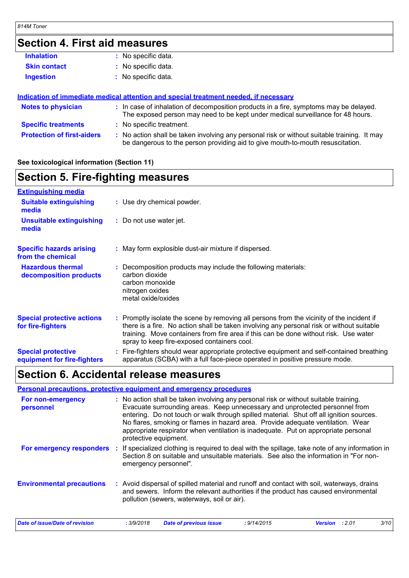#### **Section 4. First aid measures Protection of first-aiders** : No action shall be taken involving any personal risk or without suitable training. It may be dangerous to the person providing aid to give mouth-to-mouth resuscitation. **Notes to physician :** In case of inhalation of decomposition products in a fire, symptoms may be delayed. The exposed person may need to be kept under medical surveillance for 48 hours. **Specific treatments :** No specific treatment. **Skin contact Ingestion Inhalation :** No specific data. No specific data. **:** No specific data. **: Indication of immediate medical attention and special treatment needed, if necessary**

#### **See toxicological information (Section 11)**

### **Section 5. Fire-fighting measures**

| <b>Extinguishing media</b>                               |                                                                                                                                                                                                                                                                                                                               |
|----------------------------------------------------------|-------------------------------------------------------------------------------------------------------------------------------------------------------------------------------------------------------------------------------------------------------------------------------------------------------------------------------|
| <b>Suitable extinguishing</b><br>media                   | : Use dry chemical powder.                                                                                                                                                                                                                                                                                                    |
| <b>Unsuitable extinguishing</b><br>media                 | : Do not use water jet.                                                                                                                                                                                                                                                                                                       |
| <b>Specific hazards arising</b><br>from the chemical     | : May form explosible dust-air mixture if dispersed.                                                                                                                                                                                                                                                                          |
| <b>Hazardous thermal</b><br>decomposition products       | Decomposition products may include the following materials:<br>carbon dioxide<br>carbon monoxide<br>nitrogen oxides<br>metal oxide/oxides                                                                                                                                                                                     |
| <b>Special protective actions</b><br>for fire-fighters   | : Promptly isolate the scene by removing all persons from the vicinity of the incident if<br>there is a fire. No action shall be taken involving any personal risk or without suitable<br>training. Move containers from fire area if this can be done without risk. Use water<br>spray to keep fire-exposed containers cool. |
| <b>Special protective</b><br>equipment for fire-fighters | : Fire-fighters should wear appropriate protective equipment and self-contained breathing<br>apparatus (SCBA) with a full face-piece operated in positive pressure mode.                                                                                                                                                      |
|                                                          |                                                                                                                                                                                                                                                                                                                               |

### **Section 6. Accidental release measures**

#### **Personal precautions, protective equipment and emergency procedures**

| For non-emergency<br>personnel   | : No action shall be taken involving any personal risk or without suitable training.<br>Evacuate surrounding areas. Keep unnecessary and unprotected personnel from<br>entering. Do not touch or walk through spilled material. Shut off all ignition sources.<br>No flares, smoking or flames in hazard area. Provide adequate ventilation. Wear<br>appropriate respirator when ventilation is inadequate. Put on appropriate personal<br>protective equipment. |             |                       |      |
|----------------------------------|------------------------------------------------------------------------------------------------------------------------------------------------------------------------------------------------------------------------------------------------------------------------------------------------------------------------------------------------------------------------------------------------------------------------------------------------------------------|-------------|-----------------------|------|
| For emergency responders         | If specialized clothing is required to deal with the spillage, take note of any information in<br>Section 8 on suitable and unsuitable materials. See also the information in "For non-<br>emergency personnel".                                                                                                                                                                                                                                                 |             |                       |      |
| <b>Environmental precautions</b> | : Avoid dispersal of spilled material and runoff and contact with soil, waterways, drains<br>and sewers. Inform the relevant authorities if the product has caused environmental<br>pollution (sewers, waterways, soil or air).                                                                                                                                                                                                                                  |             |                       |      |
| Date of issue/Date of revision   | <b>Date of previous issue</b><br>: 3/9/2018                                                                                                                                                                                                                                                                                                                                                                                                                      | : 9/14/2015 | <b>Version</b> : 2.01 | 3/10 |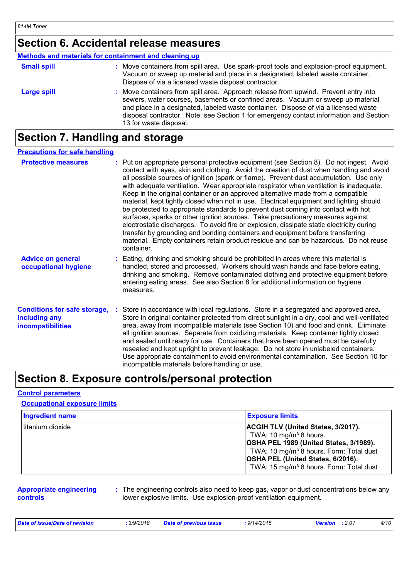### **Section 6. Accidental release measures**

#### **Methods and materials for containment and cleaning up**

| <b>Small spill</b> | : Move containers from spill area. Use spark-proof tools and explosion-proof equipment.<br>Vacuum or sweep up material and place in a designated, labeled waste container.<br>Dispose of via a licensed waste disposal contractor.                                                                                                                                                |
|--------------------|-----------------------------------------------------------------------------------------------------------------------------------------------------------------------------------------------------------------------------------------------------------------------------------------------------------------------------------------------------------------------------------|
| <b>Large spill</b> | : Move containers from spill area. Approach release from upwind. Prevent entry into<br>sewers, water courses, basements or confined areas. Vacuum or sweep up material<br>and place in a designated, labeled waste container. Dispose of via a licensed waste<br>disposal contractor. Note: see Section 1 for emergency contact information and Section<br>13 for waste disposal. |

### **Section 7. Handling and storage**

#### **Precautions for safe handling**

| <b>Protective measures</b>                                                       | : Put on appropriate personal protective equipment (see Section 8). Do not ingest. Avoid<br>contact with eyes, skin and clothing. Avoid the creation of dust when handling and avoid<br>all possible sources of ignition (spark or flame). Prevent dust accumulation. Use only<br>with adequate ventilation. Wear appropriate respirator when ventilation is inadequate.<br>Keep in the original container or an approved alternative made from a compatible<br>material, kept tightly closed when not in use. Electrical equipment and lighting should<br>be protected to appropriate standards to prevent dust coming into contact with hot<br>surfaces, sparks or other ignition sources. Take precautionary measures against<br>electrostatic discharges. To avoid fire or explosion, dissipate static electricity during<br>transfer by grounding and bonding containers and equipment before transferring<br>material. Empty containers retain product residue and can be hazardous. Do not reuse<br>container. |
|----------------------------------------------------------------------------------|-----------------------------------------------------------------------------------------------------------------------------------------------------------------------------------------------------------------------------------------------------------------------------------------------------------------------------------------------------------------------------------------------------------------------------------------------------------------------------------------------------------------------------------------------------------------------------------------------------------------------------------------------------------------------------------------------------------------------------------------------------------------------------------------------------------------------------------------------------------------------------------------------------------------------------------------------------------------------------------------------------------------------|
| <b>Advice on general</b><br>occupational hygiene                                 | : Eating, drinking and smoking should be prohibited in areas where this material is<br>handled, stored and processed. Workers should wash hands and face before eating,<br>drinking and smoking. Remove contaminated clothing and protective equipment before<br>entering eating areas. See also Section 8 for additional information on hygiene<br>measures.                                                                                                                                                                                                                                                                                                                                                                                                                                                                                                                                                                                                                                                         |
| <b>Conditions for safe storage,</b><br>including any<br><b>incompatibilities</b> | : Store in accordance with local regulations. Store in a segregated and approved area.<br>Store in original container protected from direct sunlight in a dry, cool and well-ventilated<br>area, away from incompatible materials (see Section 10) and food and drink. Eliminate<br>all ignition sources. Separate from oxidizing materials. Keep container tightly closed<br>and sealed until ready for use. Containers that have been opened must be carefully<br>resealed and kept upright to prevent leakage. Do not store in unlabeled containers.<br>Use appropriate containment to avoid environmental contamination. See Section 10 for<br>incompatible materials before handling or use.                                                                                                                                                                                                                                                                                                                     |

### **Section 8. Exposure controls/personal protection**

#### **Control parameters**

#### **Occupational exposure limits**

| <b>Ingredient name</b> | <b>Exposure limits</b>                                                                                                                                                                                                                                                              |
|------------------------|-------------------------------------------------------------------------------------------------------------------------------------------------------------------------------------------------------------------------------------------------------------------------------------|
| titanium dioxide       | <b>ACGIH TLV (United States, 3/2017).</b><br>TWA: 10 mg/m <sup>3</sup> 8 hours.<br>OSHA PEL 1989 (United States, 3/1989).<br>TWA: 10 mg/m <sup>3</sup> 8 hours. Form: Total dust<br><b>OSHA PEL (United States, 6/2016).</b><br>TWA: 15 mg/m <sup>3</sup> 8 hours. Form: Total dust |

#### **Appropriate engineering controls**

**:** The engineering controls also need to keep gas, vapor or dust concentrations below any lower explosive limits. Use explosion-proof ventilation equipment.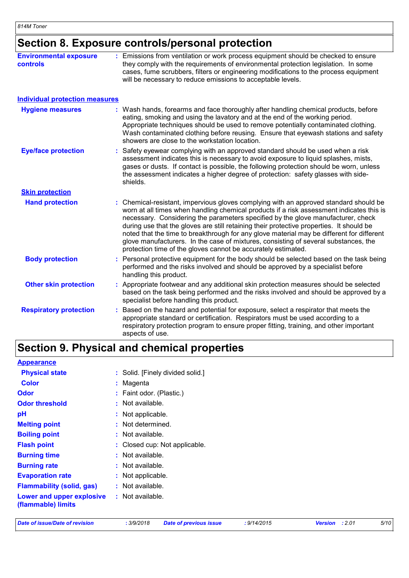# **Section 8. Exposure controls/personal protection**

| <b>Environmental exposure</b><br><b>controls</b> | : Emissions from ventilation or work process equipment should be checked to ensure<br>they comply with the requirements of environmental protection legislation. In some<br>cases, fume scrubbers, filters or engineering modifications to the process equipment<br>will be necessary to reduce emissions to acceptable levels.                                                                                                                                                                                                                                                                                      |  |
|--------------------------------------------------|----------------------------------------------------------------------------------------------------------------------------------------------------------------------------------------------------------------------------------------------------------------------------------------------------------------------------------------------------------------------------------------------------------------------------------------------------------------------------------------------------------------------------------------------------------------------------------------------------------------------|--|
| <b>Individual protection measures</b>            |                                                                                                                                                                                                                                                                                                                                                                                                                                                                                                                                                                                                                      |  |
| <b>Hygiene measures</b>                          | Wash hands, forearms and face thoroughly after handling chemical products, before<br>eating, smoking and using the lavatory and at the end of the working period.<br>Appropriate techniques should be used to remove potentially contaminated clothing.<br>Wash contaminated clothing before reusing. Ensure that eyewash stations and safety<br>showers are close to the workstation location.                                                                                                                                                                                                                      |  |
| <b>Eye/face protection</b>                       | Safety eyewear complying with an approved standard should be used when a risk<br>assessment indicates this is necessary to avoid exposure to liquid splashes, mists,<br>gases or dusts. If contact is possible, the following protection should be worn, unless<br>the assessment indicates a higher degree of protection: safety glasses with side-<br>shields.                                                                                                                                                                                                                                                     |  |
| <b>Skin protection</b>                           |                                                                                                                                                                                                                                                                                                                                                                                                                                                                                                                                                                                                                      |  |
| <b>Hand protection</b>                           | Chemical-resistant, impervious gloves complying with an approved standard should be<br>worn at all times when handling chemical products if a risk assessment indicates this is<br>necessary. Considering the parameters specified by the glove manufacturer, check<br>during use that the gloves are still retaining their protective properties. It should be<br>noted that the time to breakthrough for any glove material may be different for different<br>glove manufacturers. In the case of mixtures, consisting of several substances, the<br>protection time of the gloves cannot be accurately estimated. |  |
| <b>Body protection</b>                           | Personal protective equipment for the body should be selected based on the task being<br>performed and the risks involved and should be approved by a specialist before<br>handling this product.                                                                                                                                                                                                                                                                                                                                                                                                                    |  |
| <b>Other skin protection</b>                     | Appropriate footwear and any additional skin protection measures should be selected<br>based on the task being performed and the risks involved and should be approved by a<br>specialist before handling this product.                                                                                                                                                                                                                                                                                                                                                                                              |  |
| <b>Respiratory protection</b>                    | Based on the hazard and potential for exposure, select a respirator that meets the<br>÷.<br>appropriate standard or certification. Respirators must be used according to a<br>respiratory protection program to ensure proper fitting, training, and other important<br>aspects of use.                                                                                                                                                                                                                                                                                                                              |  |

# **Section 9. Physical and chemical properties**

| <b>Appearance</b>                               |                                  |
|-------------------------------------------------|----------------------------------|
| <b>Physical state</b>                           | : Solid. [Finely divided solid.] |
| <b>Color</b>                                    | : Magenta                        |
| <b>Odor</b>                                     | : Faint odor. (Plastic.)         |
| <b>Odor threshold</b>                           | : Not available.                 |
| pH                                              | : Not applicable.                |
| <b>Melting point</b>                            | : Not determined.                |
| <b>Boiling point</b>                            | : Not available.                 |
| <b>Flash point</b>                              | : Closed cup: Not applicable.    |
| <b>Burning time</b>                             | : Not available.                 |
| <b>Burning rate</b>                             | : Not available.                 |
| <b>Evaporation rate</b>                         | : Not applicable.                |
| <b>Flammability (solid, gas)</b>                | $:$ Not available.               |
| Lower and upper explosive<br>(flammable) limits | : Not available.                 |
|                                                 |                                  |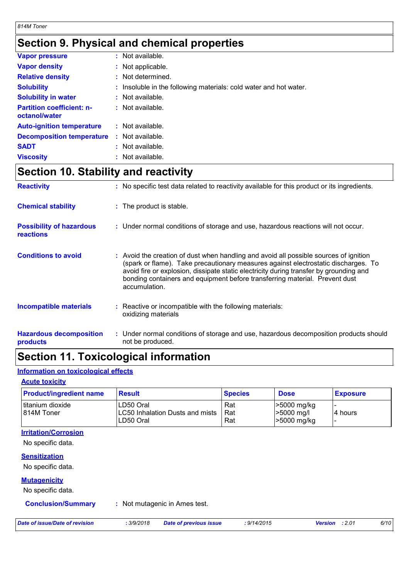## **Section 9. Physical and chemical properties**

| <b>Vapor pressure</b>                             | $:$ Not available.                                                |
|---------------------------------------------------|-------------------------------------------------------------------|
| <b>Vapor density</b>                              | : Not applicable.                                                 |
| <b>Relative density</b>                           | : Not determined.                                                 |
| <b>Solubility</b>                                 | : Insoluble in the following materials: cold water and hot water. |
| <b>Solubility in water</b>                        | : Not available.                                                  |
| <b>Partition coefficient: n-</b><br>octanol/water | : Not available.                                                  |
| <b>Auto-ignition temperature</b>                  | $:$ Not available.                                                |
| <b>Decomposition temperature</b>                  | $:$ Not available.                                                |
| <b>SADT</b>                                       | : Not available.                                                  |
| <b>Viscosity</b>                                  | : Not available.                                                  |

## **Section 10. Stability and reactivity**

| <b>Reactivity</b>                                   | : No specific test data related to reactivity available for this product or its ingredients.                                                                                                                                                                                                                                                                          |  |
|-----------------------------------------------------|-----------------------------------------------------------------------------------------------------------------------------------------------------------------------------------------------------------------------------------------------------------------------------------------------------------------------------------------------------------------------|--|
| <b>Chemical stability</b>                           | : The product is stable.                                                                                                                                                                                                                                                                                                                                              |  |
| <b>Possibility of hazardous</b><br><b>reactions</b> | : Under normal conditions of storage and use, hazardous reactions will not occur.                                                                                                                                                                                                                                                                                     |  |
| <b>Conditions to avoid</b>                          | : Avoid the creation of dust when handling and avoid all possible sources of ignition<br>(spark or flame). Take precautionary measures against electrostatic discharges. To<br>avoid fire or explosion, dissipate static electricity during transfer by grounding and<br>bonding containers and equipment before transferring material. Prevent dust<br>accumulation. |  |
| <b>Incompatible materials</b>                       | : Reactive or incompatible with the following materials:<br>oxidizing materials                                                                                                                                                                                                                                                                                       |  |
| <b>Hazardous decomposition</b><br>products          | : Under normal conditions of storage and use, hazardous decomposition products should<br>not be produced.                                                                                                                                                                                                                                                             |  |

### **Section 11. Toxicological information**

#### **Information on toxicological effects**

#### **Acute toxicity**

| <b>Product/ingredient name</b> | <b>Result</b>                                             | <b>Species</b>    | <b>Dose</b>                                | <b>Exposure</b> |
|--------------------------------|-----------------------------------------------------------|-------------------|--------------------------------------------|-----------------|
| titanium dioxide<br>814M Toner | LD50 Oral<br>LC50 Inhalation Dusts and mists<br>LD50 Oral | Rat<br>Rat<br>Rat | >5000 mg/kg<br>$>5000$ mg/l<br>>5000 mg/kg | l4 hours        |

#### **Irritation/Corrosion**

No specific data.

#### **Sensitization**

No specific data.

#### **Mutagenicity**

No specific data.

#### **Conclusion/Summary :** Not mutagenic in Ames test.

*Date of issue/Date of revision* **:** *3/9/2018 Date of previous issue : 9/14/2015 Version : 2.01 6/10*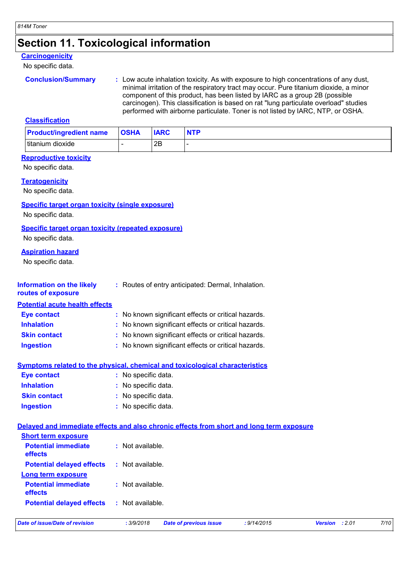### **Section 11. Toxicological information**

#### **Carcinogenicity**

No specific data.

```
Conclusion/Summary <b>: Low acute inhalation toxicity. As with exposure to high concentrations of any dust,
                    minimal irritation of the respiratory tract may occur. Pure titanium dioxide, a minor 
                    component of this product, has been listed by IARC as a group 2B (possible 
                    carcinogen). This classification is based on rat "lung particulate overload" studies 
                    performed with airborne particulate. Toner is not listed by IARC, NTP, or OSHA.
```
#### **Classification**

| <b>Product/ingredient name</b> | <b>OSHA</b> | <b>IARC</b> | <b>NTP</b> |
|--------------------------------|-------------|-------------|------------|
| titanium dioxide               |             | 2B          |            |

#### **Reproductive toxicity**

No specific data.

#### **Teratogenicity**

No specific data.

#### **Specific target organ toxicity (single exposure)**

No specific data.

#### **Specific target organ toxicity (repeated exposure)**

No specific data.

#### **Aspiration hazard**

No specific data.

**Short term exposure**

| Information on the likely             | : Routes of entry anticipated: Dermal, Inhalation. |
|---------------------------------------|----------------------------------------------------|
| routes of exposure                    |                                                    |
| <b>Potential acute health effects</b> |                                                    |

| <b>Eye contact</b>  | : No known significant effects or critical hazards. |
|---------------------|-----------------------------------------------------|
| <b>Inhalation</b>   | : No known significant effects or critical hazards. |
| <b>Skin contact</b> | : No known significant effects or critical hazards. |

**Ingestion :** No known significant effects or critical hazards.

#### **Symptoms related to the physical, chemical and toxicological characteristics**

| <b>Eye contact</b>  | : No specific data. |
|---------------------|---------------------|
| <b>Inhalation</b>   | : No specific data. |
| <b>Skin contact</b> | : No specific data. |
| <b>Ingestion</b>    | : No specific data. |

#### **Delayed and immediate effects and also chronic effects from short and long term exposure**

| Date of issue/Date of revision        | : 3/9/2018         | <b>Date of previous issue</b> | : 9/14/2015 | <b>Version</b> : 2.01 | 7/10 |
|---------------------------------------|--------------------|-------------------------------|-------------|-----------------------|------|
| <b>Potential delayed effects</b>      | : Not available.   |                               |             |                       |      |
| <b>Potential immediate</b><br>effects | : Not available.   |                               |             |                       |      |
| <b>Long term exposure</b>             |                    |                               |             |                       |      |
| <b>Potential delayed effects</b>      | : Not available.   |                               |             |                       |      |
| <b>Potential immediate</b><br>effects | $:$ Not available. |                               |             |                       |      |
| <b>SHOTL LETTH EXPOSURE</b>           |                    |                               |             |                       |      |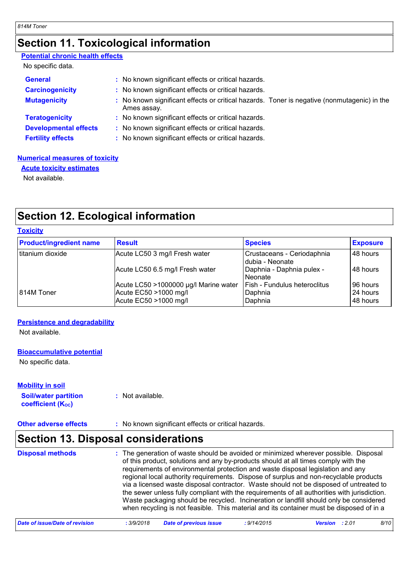## **Section 11. Toxicological information**

#### **Potential chronic health effects**

|  | No specific data. |  |
|--|-------------------|--|
|--|-------------------|--|

| <b>General</b><br><b>Carcinogenicity</b> | : No known significant effects or critical hazards.<br>: No known significant effects or critical hazards. |
|------------------------------------------|------------------------------------------------------------------------------------------------------------|
|                                          |                                                                                                            |
| <b>Mutagenicity</b>                      | : No known significant effects or critical hazards. Toner is negative (nonmutagenic) in the<br>Ames assay. |
| <b>Teratogenicity</b>                    | : No known significant effects or critical hazards.                                                        |
| <b>Developmental effects</b>             | : No known significant effects or critical hazards.                                                        |
| <b>Fertility effects</b>                 | : No known significant effects or critical hazards.                                                        |

#### **Numerical measures of toxicity**

**Acute toxicity estimates**

Not available.

# **Section 12. Ecological information**

| <b>Toxicity</b>                |                                       |                                               |                 |  |  |
|--------------------------------|---------------------------------------|-----------------------------------------------|-----------------|--|--|
| <b>Product/ingredient name</b> | <b>Result</b>                         | <b>Species</b>                                | <b>Exposure</b> |  |  |
| titanium dioxide               | Acute LC50 3 mg/l Fresh water         | Crustaceans - Ceriodaphnia<br>dubia - Neonate | 48 hours        |  |  |
|                                | Acute LC50 6.5 mg/l Fresh water       | Daphnia - Daphnia pulex -<br>Neonate          | 48 hours        |  |  |
|                                | Acute LC50 >1000000 µg/l Marine water | <b>Fish - Fundulus heteroclitus</b>           | 96 hours        |  |  |
| 814M Toner                     | Acute EC50 >1000 mg/l                 | Daphnia                                       | 24 hours        |  |  |
|                                | Acute EC50 >1000 mg/l                 | Daphnia                                       | 48 hours        |  |  |

#### **Persistence and degradability**

Not available.

#### **Bioaccumulative potential**

No specific data.

**Soil/water partition coefficient (KOC) :** Not available. **Mobility in soil**

**Other adverse effects** : No known significant effects or critical hazards.

### **Section 13. Disposal considerations**

| <b>Disposal methods</b> | : The generation of waste should be avoided or minimized wherever possible. Disposal<br>of this product, solutions and any by-products should at all times comply with the<br>requirements of environmental protection and waste disposal legislation and any<br>regional local authority requirements. Dispose of surplus and non-recyclable products<br>via a licensed waste disposal contractor. Waste should not be disposed of untreated to<br>the sewer unless fully compliant with the requirements of all authorities with jurisdiction.<br>Waste packaging should be recycled. Incineration or landfill should only be considered<br>when recycling is not feasible. This material and its container must be disposed of in a |
|-------------------------|----------------------------------------------------------------------------------------------------------------------------------------------------------------------------------------------------------------------------------------------------------------------------------------------------------------------------------------------------------------------------------------------------------------------------------------------------------------------------------------------------------------------------------------------------------------------------------------------------------------------------------------------------------------------------------------------------------------------------------------|
|-------------------------|----------------------------------------------------------------------------------------------------------------------------------------------------------------------------------------------------------------------------------------------------------------------------------------------------------------------------------------------------------------------------------------------------------------------------------------------------------------------------------------------------------------------------------------------------------------------------------------------------------------------------------------------------------------------------------------------------------------------------------------|

| Date of issue/Date of revision<br>3/9/2018. | <b>Date of previous issue</b> | 9/14/2015<br><b>Version</b> : 2.01 |  | 8/10 |
|---------------------------------------------|-------------------------------|------------------------------------|--|------|
|---------------------------------------------|-------------------------------|------------------------------------|--|------|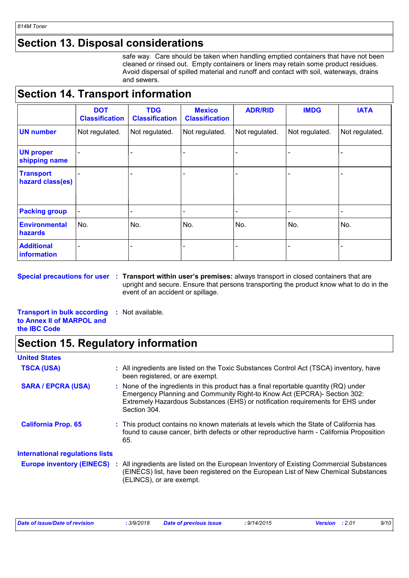# **Section 13. Disposal considerations**

safe way. Care should be taken when handling emptied containers that have not been cleaned or rinsed out. Empty containers or liners may retain some product residues. Avoid dispersal of spilled material and runoff and contact with soil, waterways, drains and sewers.

## **Section 14. Transport information**

|                                         | <b>DOT</b><br><b>Classification</b> | <b>TDG</b><br><b>Classification</b> | <b>Mexico</b><br><b>Classification</b> | <b>ADR/RID</b> | <b>IMDG</b>    | <b>IATA</b>    |
|-----------------------------------------|-------------------------------------|-------------------------------------|----------------------------------------|----------------|----------------|----------------|
| <b>UN number</b>                        | Not regulated.                      | Not regulated.                      | Not regulated.                         | Not regulated. | Not regulated. | Not regulated. |
| <b>UN proper</b><br>shipping name       |                                     |                                     |                                        |                |                |                |
| <b>Transport</b><br>hazard class(es)    |                                     |                                     |                                        |                |                |                |
| <b>Packing group</b>                    |                                     | -                                   | $\overline{\phantom{0}}$               |                | -              | -              |
| <b>Environmental</b><br>hazards         | No.                                 | No.                                 | No.                                    | No.            | No.            | No.            |
| <b>Additional</b><br><b>information</b> |                                     |                                     |                                        |                |                |                |

**Special precautions for user Transport within user's premises:** always transport in closed containers that are **:** upright and secure. Ensure that persons transporting the product know what to do in the event of an accident or spillage.

**Transport in bulk according to Annex II of MARPOL and the IBC Code :** Not available.

## **Section 15. Regulatory information**

| <b>United States</b>                                                         |                                                                                                                                                                                                                                                                       |
|------------------------------------------------------------------------------|-----------------------------------------------------------------------------------------------------------------------------------------------------------------------------------------------------------------------------------------------------------------------|
| <b>TSCA (USA)</b>                                                            | : All ingredients are listed on the Toxic Substances Control Act (TSCA) inventory, have<br>been registered, or are exempt.                                                                                                                                            |
| <b>SARA / EPCRA (USA)</b>                                                    | : None of the ingredients in this product has a final reportable quantity $(RQ)$ under<br>Emergency Planning and Community Right-to Know Act (EPCRA)- Section 302:<br>Extremely Hazardous Substances (EHS) or notification requirements for EHS under<br>Section 304. |
| <b>California Prop. 65</b>                                                   | : This product contains no known materials at levels which the State of California has<br>found to cause cancer, birth defects or other reproductive harm - California Proposition<br>65.                                                                             |
| <b>International regulations lists</b><br><b>Europe inventory (EINECS) :</b> | All ingredients are listed on the European Inventory of Existing Commercial Substances<br>(EINECS) list, have been registered on the European List of New Chemical Substances<br>(ELINCS), or are exempt.                                                             |